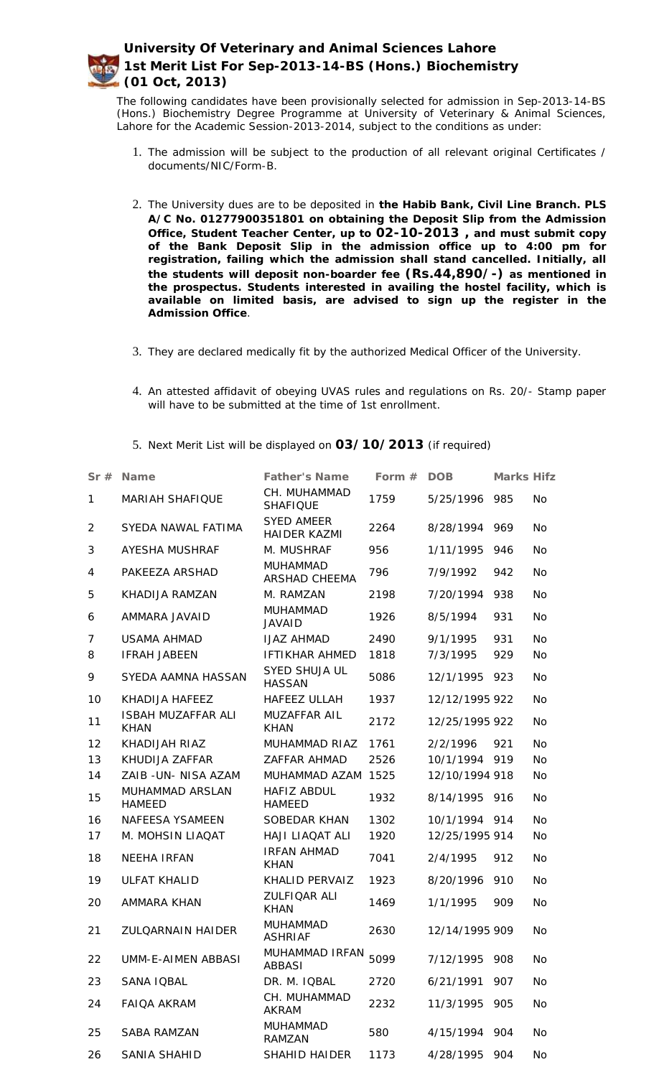The following candidates have been provisionally selected for admission in Sep-2013-14-BS (Hons.) Biochemistry Degree Programme at University of Veterinary & Animal Sciences, Lahore for the Academic Session-2013-2014, subject to the conditions as under:

- 1. The admission will be subject to the production of all relevant original Certificates / documents/NIC/Form-B.
- 2. The University dues are to be deposited in **the Habib Bank, Civil Line Branch. PLS A/C No. 01277900351801 on obtaining the Deposit Slip from the Admission Office, Student Teacher Center, up to 02-10-2013 , and must submit copy of the Bank Deposit Slip in the admission office up to 4:00 pm for registration, failing which the admission shall stand cancelled. Initially, all the students will deposit non-boarder fee (Rs.44,890/-) as mentioned in the prospectus. Students interested in availing the hostel facility, which is available on limited basis, are advised to sign up the register in the Admission Office**.
- 3. They are declared medically fit by the authorized Medical Officer of the University.
- 4. An attested affidavit of obeying UVAS rules and regulations on Rs. 20/- Stamp paper will have to be submitted at the time of 1st enrollment.
- 5. Next Merit List will be displayed on **03/10/2013** (if required)

| Sr#            | Name                                     | Father's Name                            | Form $#$ | <b>DOB</b>     | Marks Hifz |           |
|----------------|------------------------------------------|------------------------------------------|----------|----------------|------------|-----------|
| $\mathbf{1}$   | <b>MARIAH SHAFIQUE</b>                   | CH. MUHAMMAD<br><b>SHAFIQUE</b>          | 1759     | 5/25/1996      | 985        | <b>No</b> |
| $\overline{2}$ | SYEDA NAWAL FATIMA                       | <b>SYED AMEER</b><br><b>HAIDER KAZMI</b> | 2264     | 8/28/1994      | 969        | <b>No</b> |
| 3              | <b>AYESHA MUSHRAF</b>                    | M. MUSHRAF                               | 956      | 1/11/1995      | 946        | <b>No</b> |
| 4              | PAKEEZA ARSHAD                           | <b>MUHAMMAD</b><br>ARSHAD CHEEMA         | 796      | 7/9/1992       | 942        | <b>No</b> |
| 5              | KHADIJA RAMZAN                           | M. RAMZAN                                | 2198     | 7/20/1994      | 938        | <b>No</b> |
| 6              | AMMARA JAVAID                            | <b>MUHAMMAD</b><br><b>JAVAID</b>         | 1926     | 8/5/1994       | 931        | <b>No</b> |
| $\overline{7}$ | <b>USAMA AHMAD</b>                       | <b>IJAZ AHMAD</b>                        | 2490     | 9/1/1995       | 931        | <b>No</b> |
| 8              | <b>IFRAH JABEEN</b>                      | <b>IFTIKHAR AHMED</b>                    | 1818     | 7/3/1995       | 929        | No        |
| 9              | SYEDA AAMNA HASSAN                       | SYED SHUJA UL<br><b>HASSAN</b>           | 5086     | 12/1/1995      | 923        | <b>No</b> |
| 10             | KHADIJA HAFEEZ                           | HAFEEZ ULLAH                             | 1937     | 12/12/1995 922 |            | <b>No</b> |
| 11             | <b>ISBAH MUZAFFAR ALI</b><br><b>KHAN</b> | MUZAFFAR AIL<br><b>KHAN</b>              | 2172     | 12/25/1995 922 |            | <b>No</b> |
| 12             | KHADIJAH RIAZ                            | MUHAMMAD RIAZ                            | 1761     | 2/2/1996       | 921        | <b>No</b> |
| 13             | KHUDIJA ZAFFAR                           | ZAFFAR AHMAD                             | 2526     | 10/1/1994 919  |            | No        |
| 14             | ZAIB-UN-NISA AZAM                        | MUHAMMAD AZAM 1525                       |          | 12/10/1994 918 |            | <b>No</b> |
| 15             | MUHAMMAD ARSLAN<br><b>HAMEED</b>         | HAFIZ ABDUL<br><b>HAMEED</b>             | 1932     | 8/14/1995 916  |            | <b>No</b> |
| 16             | NAFEESA YSAMEEN                          | SOBEDAR KHAN                             | 1302     | 10/1/1994 914  |            | <b>No</b> |
| 17             | M. MOHSIN LIAQAT                         | <b>HAJI LIAQAT ALI</b>                   | 1920     | 12/25/1995 914 |            | No.       |
| 18             | <b>NEEHA IRFAN</b>                       | <b>IRFAN AHMAD</b><br><b>KHAN</b>        | 7041     | 2/4/1995       | 912        | <b>No</b> |
| 19             | <b>ULFAT KHALID</b>                      | KHALID PERVAIZ                           | 1923     | 8/20/1996      | 910        | No        |
| 20             | AMMARA KHAN                              | ZULFIQAR ALI<br><b>KHAN</b>              | 1469     | 1/1/1995       | 909        | <b>No</b> |
| 21             | ZULQARNAIN HAIDER                        | MUHAMMAD<br><b>ASHRIAF</b>               | 2630     | 12/14/1995 909 |            | <b>No</b> |
| 22             | UMM-E-AIMEN ABBASI                       | MUHAMMAD IRFAN<br><b>ABBASI</b>          | 5099     | 7/12/1995      | 908        | No        |
| 23             | SANA IQBAL                               | DR. M. IQBAL                             | 2720     | 6/21/1991      | 907        | No        |
| 24             | <b>FAIQA AKRAM</b>                       | CH. MUHAMMAD<br><b>AKRAM</b>             | 2232     | 11/3/1995      | 905        | No        |
| 25             | <b>SABA RAMZAN</b>                       | <b>MUHAMMAD</b><br>RAMZAN                | 580      | 4/15/1994      | 904        | No        |
| 26             | SANIA SHAHID                             | SHAHID HAIDER                            | 1173     | 4/28/1995 904  |            | No        |